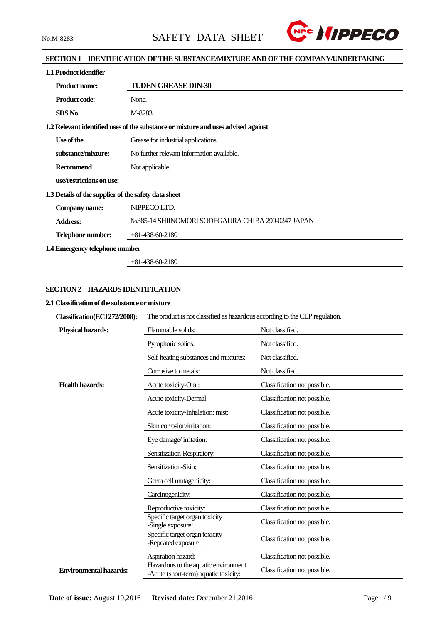

# **SECTION 1 IDENTIFICATION OF THE SUBSTANCE/MIXTURE AND OF THE COMPANY/UNDERTAKING**

| 1.1 Product identifier                               |                                                                                   |
|------------------------------------------------------|-----------------------------------------------------------------------------------|
| <b>Product name:</b>                                 | <b>TUDEN GREASE DIN-30</b>                                                        |
| <b>Product code:</b>                                 | None.                                                                             |
| SDS No.                                              | M-8283                                                                            |
|                                                      | 1.2 Relevant identified uses of the substance or mixture and uses advised against |
| Use of the                                           | Grease for industrial applications.                                               |
| substance/mixture:                                   | No further relevant information available.                                        |
| <b>Recommend</b>                                     | Not applicable.                                                                   |
| use/restrictions on use:                             |                                                                                   |
| 1.3 Details of the supplier of the safety data sheet |                                                                                   |
| Company name:                                        | NIPPECO LTD.                                                                      |
| <b>Address:</b>                                      | No.385-14 SHIINOMORI SODEGAURA CHIBA 299-0247 JAPAN                               |
| Telephone number:                                    | $+81-438-60-2180$                                                                 |
| 1.4 Emergency telephone number                       |                                                                                   |

+81-438-60-2180

# **SECTION 2 HAZARDS IDENTIFICATION**

# **2.1 Classification of the substance or mixture**

| Classification(EC1272/2008):  | The product is not classified as hazardous according to the CLP regulation.   |                              |  |  |  |
|-------------------------------|-------------------------------------------------------------------------------|------------------------------|--|--|--|
| <b>Physical hazards:</b>      | Flammable solids:                                                             | Not classified.              |  |  |  |
|                               | Pyrophoric solids:                                                            | Not classified.              |  |  |  |
|                               | Self-heating substances and mixtures:                                         | Not classified.              |  |  |  |
|                               | Corrosive to metals:                                                          | Not classified.              |  |  |  |
| <b>Health hazards:</b>        | Acute toxicity-Oral:                                                          | Classification not possible. |  |  |  |
|                               | Acute toxicity-Dermal:                                                        | Classification not possible. |  |  |  |
|                               | Acute toxicity-Inhalation: mist:                                              | Classification not possible. |  |  |  |
|                               | Skin corrosion/irritation:                                                    | Classification not possible. |  |  |  |
|                               | Eye damage/irritation:                                                        | Classification not possible. |  |  |  |
|                               | Sensitization-Respiratory:                                                    | Classification not possible. |  |  |  |
|                               | Sensitization-Skin:                                                           | Classification not possible. |  |  |  |
|                               | Germ cell mutagenicity:                                                       | Classification not possible. |  |  |  |
|                               | Carcinogenicity:                                                              | Classification not possible. |  |  |  |
|                               | Reproductive toxicity:                                                        | Classification not possible. |  |  |  |
|                               | Specific target organ toxicity<br>-Single exposure:                           | Classification not possible. |  |  |  |
|                               | Specific target organ toxicity<br>-Repeated exposure:                         | Classification not possible. |  |  |  |
|                               | Aspiration hazard:                                                            | Classification not possible. |  |  |  |
| <b>Environmental hazards:</b> | Hazardous to the aquatic environment<br>-Acute (short-term) aquatic toxicity: | Classification not possible. |  |  |  |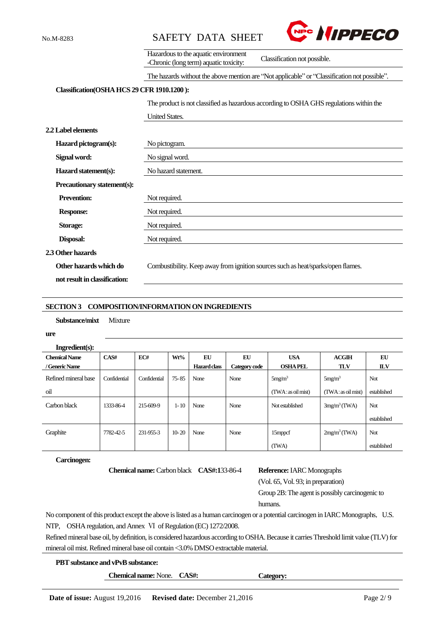



|                                            | Hazardous to the aquatic environment<br>Classification not possible.<br>-Chronic (long term) aquatic toxicity: |  |  |  |
|--------------------------------------------|----------------------------------------------------------------------------------------------------------------|--|--|--|
|                                            | The hazards without the above mention are "Not applicable" or "Classification not possible".                   |  |  |  |
| Classification(OSHA HCS 29 CFR 1910.1200): |                                                                                                                |  |  |  |
|                                            | The product is not classified as hazardous according to OSHA GHS regulations within the                        |  |  |  |
|                                            | <b>United States.</b>                                                                                          |  |  |  |
| 2.2 Label elements                         |                                                                                                                |  |  |  |
| Hazard pictogram(s):                       | No pictogram.                                                                                                  |  |  |  |
| Signal word:                               | No signal word.                                                                                                |  |  |  |
| Hazard statement(s):                       | No hazard statement.                                                                                           |  |  |  |
| Precautionary statement(s):                |                                                                                                                |  |  |  |
| <b>Prevention:</b>                         | Not required.                                                                                                  |  |  |  |
| <b>Response:</b>                           | Not required.                                                                                                  |  |  |  |
| Storage:                                   | Not required.                                                                                                  |  |  |  |
| Disposal:                                  | Not required.                                                                                                  |  |  |  |
| 2.3 Other hazards                          |                                                                                                                |  |  |  |
| Other hazards which do                     | Combustibility. Keep away from ignition sources such as heat/sparks/open flames.                               |  |  |  |
| not result in classification:              |                                                                                                                |  |  |  |
|                                            |                                                                                                                |  |  |  |

#### **SECTION 3 COMPOSITION/INFORMATION ON INGREDIENTS**

**Substance/mixt** Mixture

**ure**

| Ingredient(s):       |              |              |           |                     |               |                    |                    |             |
|----------------------|--------------|--------------|-----------|---------------------|---------------|--------------------|--------------------|-------------|
| <b>Chemical Name</b> | CAS#         | EC#          | Wt%       | EU                  | EU            | <b>USA</b>         | <b>ACGIH</b>       | EU          |
| / Generic Name       |              |              |           | <b>Hazard class</b> | Category code | <b>OSHAPEL</b>     | <b>TLV</b>         | <b>ILV</b>  |
| Refined mineral base | Confidential | Confidential | $75 - 85$ | None                | None          | 5mg/m <sup>3</sup> | 5mg/m <sup>3</sup> | Not         |
| oil                  |              |              |           |                     |               | (TWA: as oil mist) | (TWA: as oil mist) | established |
| Carbon black         | 1333-86-4    | 215-609-9    | $1 - 10$  | None                | None          | Not established    | $3mg/m3$ (TWA)     | Not         |
|                      |              |              |           |                     |               |                    |                    | established |
| Graphite             | 7782-42-5    | 231-955-3    | $10-20$   | None                | None          | 15mppcf            | $2mg/m3$ (TWA)     | Not         |
|                      |              |              |           |                     |               | (TWA)              |                    | established |

#### **Carcinogen:**

**Chemical name:** Carbon black **CAS#:133-86-4 R** 

|  |  | e <b>ference:</b> IARC Monographs |
|--|--|-----------------------------------|
|--|--|-----------------------------------|

(Vol. 65, Vol. 93; in preparation)

Group 2B:The agent is possibly carcinogenic to humans.

No component of this product except the above is listed as a human carcinogen or a potential carcinogen in IARC Monographs, U.S. NTP, OSHA regulation, and Annex VI of Regulation (EC) 1272/2008.

Refined mineral base oil, by definition, is considered hazardous according to OSHA. Because it carries Threshold limit value (TLV) for mineral oil mist. Refined mineral base oil contain <3.0% DMSO extractable material.

## **PBT substance and vPvB substance:**

**Chemical name:** None. **CAS#: Category:**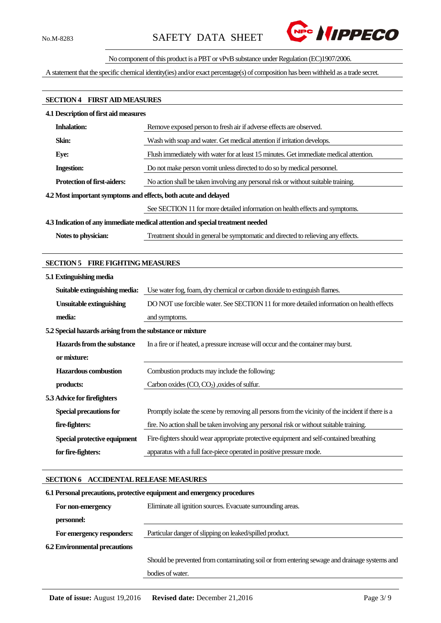

# No component of this product is a PBT or vPvB substance under Regulation (EC)1907/2006.

A statement that the specific chemical identity(ies) and/or exact percentage(s) of composition has been withheld as a trade secret.

### **SECTION 4 FIRST AID MEASURES**

| <b>4.1 Description of first aid measures</b>                    |                                                                                        |  |  |
|-----------------------------------------------------------------|----------------------------------------------------------------------------------------|--|--|
| <b>Inhalation:</b>                                              | Remove exposed person to fresh air if adverse effects are observed.                    |  |  |
| Skin:                                                           | Wash with soap and water. Get medical attention if irritation develops.                |  |  |
| Eye:                                                            | Flush immediately with water for at least 15 minutes. Get immediate medical attention. |  |  |
| <b>Ingestion:</b>                                               | Do not make person vomit unless directed to do so by medical personnel.                |  |  |
| <b>Protection of first-aiders:</b>                              | No action shall be taken involving any personal risk or without suitable training.     |  |  |
| 4.2 Most important symptoms and effects, both acute and delayed |                                                                                        |  |  |
|                                                                 | See SECTION 11 for more detailed information on health effects and symptoms.           |  |  |
|                                                                 | 4.3 Indication of any immediate medical attention and special treatment needed         |  |  |
| Notes to physician:                                             | Treatment should in general be symptomatic and directed to relieving any effects.      |  |  |

#### **SECTION 5 FIRE FIGHTING MEASURES**

| 5.1 Extinguishing media                                   |                                                                                                    |
|-----------------------------------------------------------|----------------------------------------------------------------------------------------------------|
| Suitable extinguishing media:                             | Use water fog, foam, dry chemical or carbon dioxide to extinguish flames.                          |
| <b>Unsuitable extinguishing</b>                           | DO NOT use forcible water. See SECTION 11 for more detailed information on health effects          |
| media:                                                    | and symptoms.                                                                                      |
| 5.2 Special hazards arising from the substance or mixture |                                                                                                    |
| Hazards from the substance                                | In a fire or if heated, a pressure increase will occur and the container may burst.                |
| or mixture:                                               |                                                                                                    |
| <b>Hazardous</b> combustion                               | Combustion products may include the following:                                                     |
| products:                                                 | Carbon oxides $(CO, CO2)$ , oxides of sulfur.                                                      |
| 5.3 Advice for firefighters                               |                                                                                                    |
| Special precautions for                                   | Promptly isolate the scene by removing all persons from the vicinity of the incident if there is a |
| fire-fighters:                                            | fire. No action shall be taken involving any personal risk or without suitable training.           |
| Special protective equipment                              | Fire-fighters should wear appropriate protective equipment and self-contained breathing            |
| for fire-fighters:                                        | apparatus with a full face-piece operated in positive pressure mode.                               |

# **SECTION 6 ACCIDENTAL RELEASE MEASURES**

| 6.1 Personal precautions, protective equipment and emergency procedures |                                                                                              |  |  |
|-------------------------------------------------------------------------|----------------------------------------------------------------------------------------------|--|--|
| For non-emergency                                                       | Eliminate all ignition sources. Evacuate surrounding areas.                                  |  |  |
| personnel:                                                              |                                                                                              |  |  |
| For emergency responders:                                               | Particular danger of slipping on leaked/spilled product.                                     |  |  |
| <b>6.2 Environmental precautions</b>                                    |                                                                                              |  |  |
|                                                                         | Should be prevented from contaminating soil or from entering sewage and drainage systems and |  |  |
|                                                                         | bodies of water.                                                                             |  |  |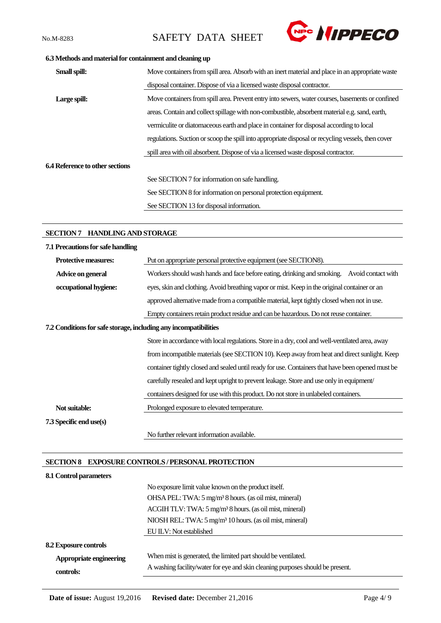

# **6.3 Methods and material for containment and cleaning up**

| Small spill:                    | Move containers from spill area. Absorb with an inert material and place in an appropriate waste   |
|---------------------------------|----------------------------------------------------------------------------------------------------|
|                                 | disposal container. Dispose of via a licensed waste disposal contractor.                           |
| Large spill:                    | Move containers from spill area. Prevent entry into sewers, water courses, basements or confined   |
|                                 | areas. Contain and collect spillage with non-combustible, absorbent material e.g. sand, earth,     |
|                                 | vermiculite or diatomaceous earth and place in container for disposal according to local           |
|                                 | regulations. Suction or scoop the spill into appropriate disposal or recycling vessels, then cover |
|                                 | spill area with oil absorbent. Dispose of via a licensed waste disposal contractor.                |
| 6.4 Reference to other sections |                                                                                                    |
|                                 | See SECTION 7 for information on safe handling.                                                    |
|                                 | See SECTION 8 for information on personal protection equipment.                                    |
|                                 | See SECTION 13 for disposal information.                                                           |
|                                 |                                                                                                    |

# **SECTION 7 HANDLING AND STORAGE**

| 7.1 Precautions for safe handling                                |                                                                                                   |  |  |  |
|------------------------------------------------------------------|---------------------------------------------------------------------------------------------------|--|--|--|
| <b>Protective measures:</b>                                      | Put on appropriate personal protective equipment (see SECTION8).                                  |  |  |  |
| Advice on general                                                | Workers should wash hands and face before eating, drinking and smoking. Avoid contact with        |  |  |  |
| occupational hygiene:                                            | eyes, skin and clothing. Avoid breathing vapor or mist. Keep in the original container or an      |  |  |  |
|                                                                  | approved alternative made from a compatible material, kept tightly closed when not in use.        |  |  |  |
|                                                                  | Empty containers retain product residue and can be hazardous. Do not reuse container.             |  |  |  |
| 7.2 Conditions for safe storage, including any incompatibilities |                                                                                                   |  |  |  |
|                                                                  | Store in accordance with local regulations. Store in a dry, cool and well-ventilated area, away   |  |  |  |
|                                                                  | from incompatible materials (see SECTION 10). Keep away from heat and direct sunlight. Keep       |  |  |  |
|                                                                  | container tightly closed and sealed until ready for use. Containers that have been opened must be |  |  |  |
|                                                                  | carefully resealed and kept upright to prevent leakage. Store and use only in equipment           |  |  |  |
|                                                                  | containers designed for use with this product. Do not store in unlabeled containers.              |  |  |  |
| Not suitable:                                                    | Prolonged exposure to elevated temperature.                                                       |  |  |  |
| 7.3 Specific end use(s)                                          |                                                                                                   |  |  |  |
|                                                                  | No further relevant information available.                                                        |  |  |  |

# **SECTION 8 EXPOSURE CONTROLS / PERSONAL PROTECTION**

| 8.1 Control parameters       |                                                                                |  |  |  |
|------------------------------|--------------------------------------------------------------------------------|--|--|--|
|                              | No exposure limit value known on the product itself.                           |  |  |  |
|                              | OHSA PEL: TWA: 5 mg/m <sup>3</sup> 8 hours. (as oil mist, mineral)             |  |  |  |
|                              | ACGIH TLV: TWA: 5 mg/m <sup>3</sup> 8 hours. (as oil mist, mineral)            |  |  |  |
|                              | NIOSH REL: TWA: 5 mg/m <sup>3</sup> 10 hours. (as oil mist, mineral)           |  |  |  |
|                              | EU ILV: Not established                                                        |  |  |  |
| <b>8.2 Exposure controls</b> |                                                                                |  |  |  |
| Appropriate engineering      | When mist is generated, the limited part should be ventilated.                 |  |  |  |
| controls:                    | A washing facility/water for eye and skin cleaning purposes should be present. |  |  |  |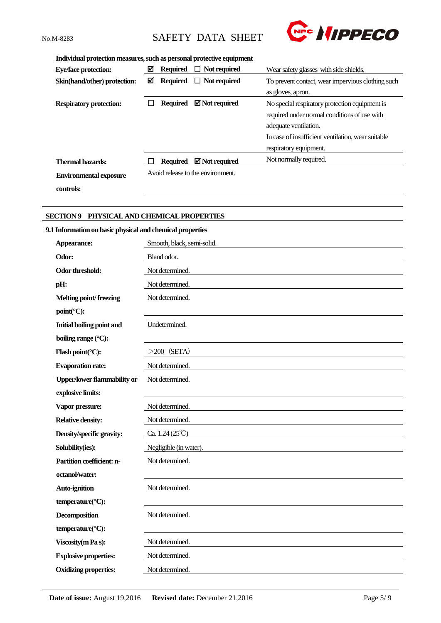

### **Individual protection measures, such as personal protective equipment**

| <b>Eye/face protection:</b>    | ☑ | <b>Required</b> | $\Box$ Not required                                                      | Wear safety glasses with side shields.             |
|--------------------------------|---|-----------------|--------------------------------------------------------------------------|----------------------------------------------------|
| Skin(hand/other) protection:   | ⊠ | <b>Required</b> | $\Box$ Not required<br>To prevent contact, wear impervious clothing such |                                                    |
|                                |   |                 |                                                                          | as gloves, apron.                                  |
| <b>Respiratory protection:</b> |   | <b>Required</b> | $\boxtimes$ Not required                                                 | No special respiratory protection equipment is     |
|                                |   |                 |                                                                          | required under normal conditions of use with       |
|                                |   |                 |                                                                          | adequate ventilation.                              |
|                                |   |                 |                                                                          | In case of insufficient ventilation, wear suitable |
|                                |   |                 |                                                                          | respiratory equipment.                             |
| <b>Thermal hazards:</b>        |   | <b>Required</b> | $\boxtimes$ Not required                                                 | Not normally required.                             |
| <b>Environmental exposure</b>  |   |                 | Avoid release to the environment.                                        |                                                    |
| controls:                      |   |                 |                                                                          |                                                    |

# **SECTION 9 PHYSICAL AND CHEMICAL PROPERTIES**

# **9.1 Information on basic physical and chemical properties**

| Appearance:                                | Smooth, black, semi-solid.     |
|--------------------------------------------|--------------------------------|
| Odor:                                      | Bland odor.                    |
| Odor threshold:                            | Not determined.                |
| pH:                                        | Not determined.                |
| <b>Melting point/freezing</b>              | Not determined.                |
| $point$ <sup>(<math>\circ</math></sup> C): |                                |
| Initial boiling point and                  | Undetermined.                  |
| boiling range (°C):                        |                                |
| Flash point( $\mathrm{C}$ ):               | $>200$ (SETA)                  |
| <b>Evaporation rate:</b>                   | Not determined.                |
| <b>Upper/lower flammability or</b>         | Not determined.                |
| explosive limits:                          |                                |
| Vapor pressure:                            | Not determined.                |
| <b>Relative density:</b>                   | Not determined.                |
| Density/specific gravity:                  | Ca. $1.24(25^{\circ}\text{C})$ |
| Solubility(ies):                           | Negligible (in water).         |
| Partition coefficient: n-                  | Not determined.                |
| octanol/water:                             |                                |
| <b>Auto-ignition</b>                       | Not determined.                |
| temperature(°C):                           |                                |
| Decomposition                              | Not determined.                |
| temperature(°C):                           |                                |
| Viscosity (m Pa s):                        | Not determined.                |
| <b>Explosive properties:</b>               | Not determined.                |
| <b>Oxidizing properties:</b>               | Not determined.                |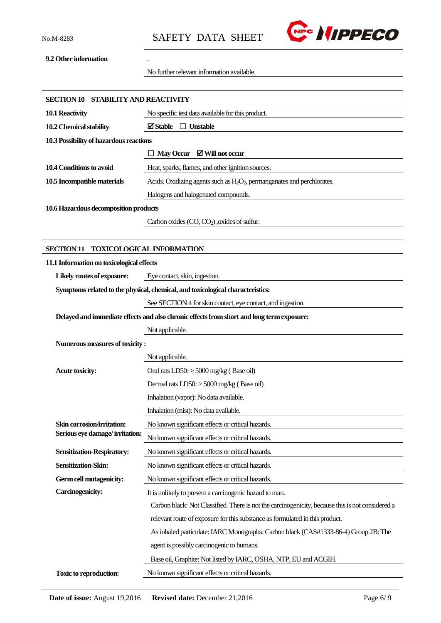

### **9.2 Other information** .

No further relevant information available.

| SECTION 10 STABILITY AND REACTIVITY                          |                                                                                                  |
|--------------------------------------------------------------|--------------------------------------------------------------------------------------------------|
| 10.1 Reactivity                                              | No specific test data available for this product.                                                |
| 10.2 Chemical stability                                      | $\boxtimes$ Stable $\Box$ Unstable                                                               |
| 10.3 Possibility of hazardous reactions                      |                                                                                                  |
|                                                              | May Occur $\boxtimes$ Will not occur                                                             |
| 10.4 Conditions to avoid                                     | Heat, sparks, flames, and other ignition sources.                                                |
| 10.5 Incompatible materials                                  | Acids. Oxidizing agents such as $H_2O_2$ , permanganates and perchlorates.                       |
|                                                              | Halogens and halogenated compounds.                                                              |
| 10.6 Hazardous decomposition products                        |                                                                                                  |
|                                                              | Carbon oxides $(CO, CO2)$ , oxides of sulfur.                                                    |
|                                                              |                                                                                                  |
| <b>SECTION 11</b>                                            | <b>TOXICOLOGICAL INFORMATION</b>                                                                 |
| 11.1 Information on toxicological effects                    |                                                                                                  |
| Likely routes of exposure:                                   | Eye contact, skin, ingestion.                                                                    |
|                                                              | Symptoms related to the physical, chemical, and toxicological characteristics:                   |
|                                                              | See SECTION 4 for skin contact, eye contact, and ingestion.                                      |
|                                                              | Delayed and immediate effects and also chronic effects from short and long term exposure:        |
|                                                              | Not applicable.                                                                                  |
| Numerous measures of toxicity:                               |                                                                                                  |
|                                                              | Not applicable.                                                                                  |
| <b>Acute toxicity:</b>                                       | Oral rats $LD50$ : $> 5000$ mg/kg (Base oil)                                                     |
|                                                              | Dermal rats LD50: > 5000 mg/kg (Base oil)                                                        |
|                                                              | Inhalation (vapor): No data available.                                                           |
|                                                              | Inhalation (mist): No data available.                                                            |
| Skin corrosion/irritation:<br>Serious eye damage/irritation: | No known significant effects or critical hazards.                                                |
|                                                              | No known significant effects or critical hazards.                                                |
| <b>Sensitization-Respiratory:</b>                            | No known significant effects or critical hazards.                                                |
| Sensitization-Skin:                                          | No known significant effects or critical hazards.                                                |
| Germ cell mutagenicity:                                      | No known significant effects or critical hazards.                                                |
| <b>Carcinogenicity:</b>                                      | It is unlikely to present a carcinogenic hazard to man.                                          |
|                                                              | Carbon black: Not Classified. There is not the carcinogenicity, because this is not considered a |
|                                                              | relevant route of exposure for this substance as formulated in this product.                     |
|                                                              | As inhaled particulate: IARC Monographs: Carbon black (CAS#1333-86-4) Group 2B: The              |
|                                                              | agent is possibly carcinogenic to humans.                                                        |
|                                                              | Base oil, Graphite: Not listed by IARC, OSHA, NTP, EU and ACGIH.                                 |
| Toxic to reproduction:                                       | No known significant effects or critical hazards.                                                |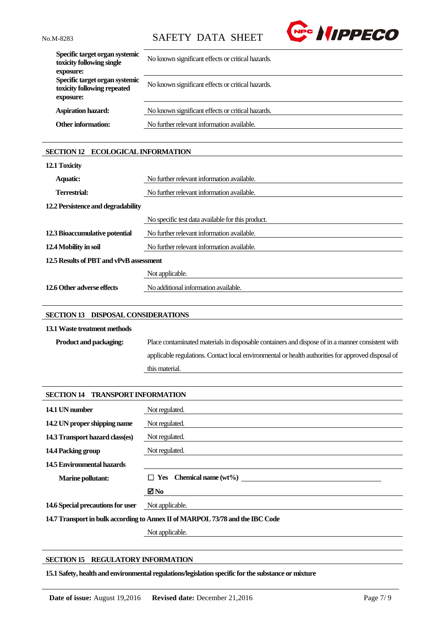

| Specific target organ systemic<br>toxicity following single<br>exposure:   | No known significant effects or critical hazards. |
|----------------------------------------------------------------------------|---------------------------------------------------|
| Specific target organ systemic<br>toxicity following repeated<br>exposure: | No known significant effects or critical hazards. |
| <b>Aspiration hazard:</b>                                                  | No known significant effects or critical hazards. |
| <b>Other information:</b>                                                  | No further relevant information available.        |

# **SECTION 12 ECOLOGICAL INFORMATION**

| 12.1 Toxicity                           |                                                   |
|-----------------------------------------|---------------------------------------------------|
| <b>Aquatic:</b>                         | No further relevant information available.        |
| Terrestrial:                            | No further relevant information available.        |
| 12.2 Persistence and degradability      |                                                   |
|                                         | No specific test data available for this product. |
| 12.3 Bioaccumulative potential          | No further relevant information available.        |
| 12.4 Mobility in soil                   | No further relevant information available.        |
| 12.5 Results of PBT and vPvB assessment |                                                   |
|                                         | Not applicable.                                   |
| 12.6 Other adverse effects              | No additional information available.              |

# **SECTION 13 DISPOSAL CONSIDERATIONS**

# **13.1Waste treatment methods**

| <b>Product and packaging:</b> | Place contaminated materials in disposable containers and dispose of in a manner consistent with   |
|-------------------------------|----------------------------------------------------------------------------------------------------|
|                               | applicable regulations. Contact local environmental or health authorities for approved disposal of |
|                               | this material.                                                                                     |

| <b>TRANSPORT INFORMATION</b><br><b>SECTION 14</b>                             |                                |
|-------------------------------------------------------------------------------|--------------------------------|
| 14.1 UN number                                                                | Not regulated.                 |
| 14.2 UN proper shipping name                                                  | Not regulated.                 |
| 14.3 Transport hazard class(es)                                               | Not regulated.                 |
| 14.4 Packing group                                                            | Not regulated.                 |
| 14.5 Environmental hazards                                                    |                                |
| <b>Marine pollutant:</b>                                                      | $\Box$ Yes Chemical name (wt%) |
|                                                                               | $\blacksquare$ No              |
| 14.6 Special precautions for user                                             | Not applicable.                |
| 14.7 Transport in bulk according to Annex II of MARPOL 73/78 and the IBC Code |                                |
|                                                                               | Not applicable.                |

# **SECTION 15 REGULATORY INFORMATION**

**15.1 Safety, health and environmental regulations/legislation specific for the substance or mixture**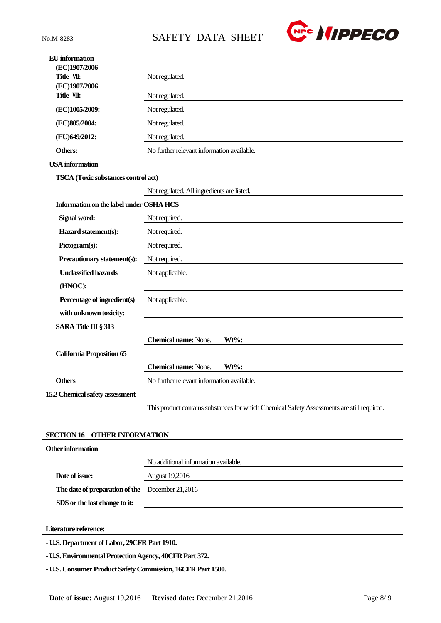

| <b>EU</b> information<br>(EC)1907/2006                  |                                                                                            |  |
|---------------------------------------------------------|--------------------------------------------------------------------------------------------|--|
| Title VII:                                              | Not regulated.                                                                             |  |
| (EC)1907/2006<br>Title VII:                             | Not regulated.                                                                             |  |
| (EC)1005/2009:                                          | Not regulated.                                                                             |  |
| (EC)805/2004:                                           | Not regulated.                                                                             |  |
| (EU)649/2012:                                           | Not regulated.                                                                             |  |
| Others:                                                 | No further relevant information available.                                                 |  |
| <b>USA</b> information                                  |                                                                                            |  |
| TSCA (Toxic substances control act)                     |                                                                                            |  |
|                                                         | Not regulated. All ingredients are listed.                                                 |  |
| Information on the label under OSHA HCS                 |                                                                                            |  |
| Signal word:                                            | Not required.                                                                              |  |
| Hazard statement(s):                                    | Not required.                                                                              |  |
| Pictogram(s):                                           | Not required.                                                                              |  |
| Precautionary statement(s):                             | Not required.                                                                              |  |
| <b>Unclassified hazards</b>                             | Not applicable.                                                                            |  |
| (HNOC):                                                 |                                                                                            |  |
| Percentage of ingredient(s)                             | Not applicable.                                                                            |  |
| with unknown toxicity:                                  |                                                                                            |  |
| SARA Title III § 313                                    |                                                                                            |  |
|                                                         | <b>Chemical name:</b> None.<br>Wt%:                                                        |  |
| <b>California Proposition 65</b>                        |                                                                                            |  |
|                                                         | <b>Chemical name:</b> None.<br>$Wt\%$ :                                                    |  |
| <b>Others</b>                                           | No further relevant information available.                                                 |  |
| 15.2 Chemical safety assessment                         |                                                                                            |  |
|                                                         | This product contains substances for which Chemical Safety Assessments are still required. |  |
| <b>OTHER INFORMATION</b><br><b>SECTION 16</b>           |                                                                                            |  |
| <b>Other information</b>                                |                                                                                            |  |
|                                                         | No additional information available.                                                       |  |
| Date of issue:                                          | <b>August 19,2016</b>                                                                      |  |
| The date of preparation of the December 21,2016         |                                                                                            |  |
| SDS or the last change to it:                           |                                                                                            |  |
|                                                         |                                                                                            |  |
| Literature reference:                                   |                                                                                            |  |
| - U.S. Department of Labor, 29CFR Part 1910.            |                                                                                            |  |
| - U.S. Environmental Protection Agency, 40CFR Part 372. |                                                                                            |  |

**- U.S. Consumer Product Safety Commission, 16CFR Part 1500.**